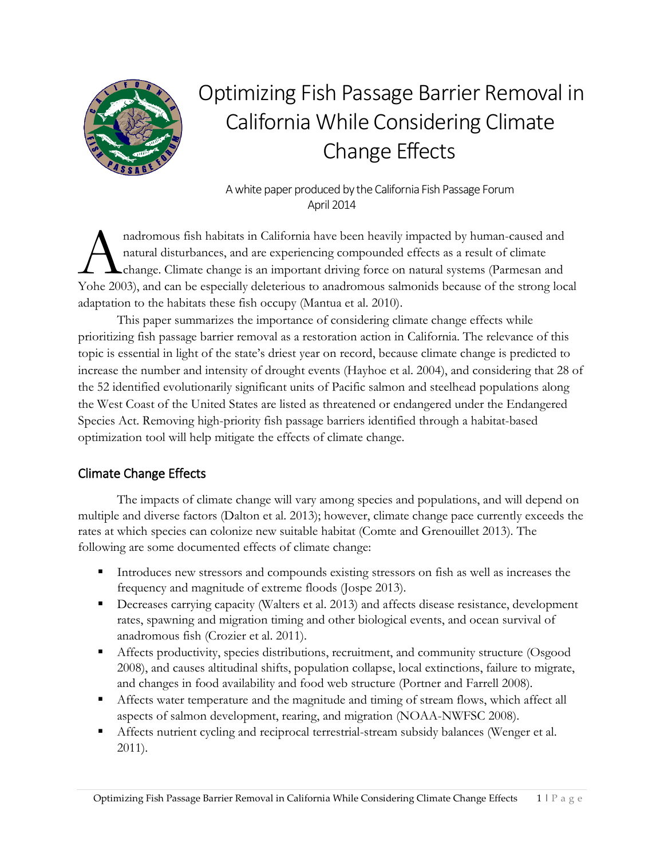

# Optimizing Fish Passage Barrier Removal in California While Considering Climate Change Effects

 A white paper produced by the California Fish Passage Forum April 2014

nadromous fish habitats in California have been heavily impacted by human-caused and natural disturbances, and are experiencing compounded effects as a result of climate change. Climate change is an important driving force on natural systems (Parmesan and nadromous fish habitats in California have been heavily impacted by human-caused and<br>natural disturbances, and are experiencing compounded effects as a result of climate<br>change. Climate change is an important driving force adaptation to the habitats these fish occupy (Mantua et al. 2010).

This paper summarizes the importance of considering climate change effects while prioritizing fish passage barrier removal as a restoration action in California. The relevance of this topic is essential in light of the state's driest year on record, because climate change is predicted to increase the number and intensity of drought events (Hayhoe et al. 2004), and considering that 28 of the 52 identified evolutionarily significant units of Pacific salmon and steelhead populations along the West Coast of the United States are listed as threatened or endangered under the Endangered Species Act. Removing high-priority fish passage barriers identified through a habitat-based optimization tool will help mitigate the effects of climate change.

## Climate Change Effects

The impacts of climate change will vary among species and populations, and will depend on multiple and diverse factors (Dalton et al. 2013); however, climate change pace currently exceeds the rates at which species can colonize new suitable habitat (Comte and Grenouillet 2013). The following are some documented effects of climate change:

- Introduces new stressors and compounds existing stressors on fish as well as increases the frequency and magnitude of extreme floods (Jospe 2013).
- Decreases carrying capacity (Walters et al. 2013) and affects disease resistance, development rates, spawning and migration timing and other biological events, and ocean survival of anadromous fish (Crozier et al. 2011).
- Affects productivity, species distributions, recruitment, and community structure (Osgood 2008), and causes altitudinal shifts, population collapse, local extinctions, failure to migrate, and changes in food availability and food web structure (Portner and Farrell 2008).
- Affects water temperature and the magnitude and timing of stream flows, which affect all aspects of salmon development, rearing, and migration (NOAA-NWFSC 2008).
- Affects nutrient cycling and reciprocal terrestrial-stream subsidy balances (Wenger et al. 2011).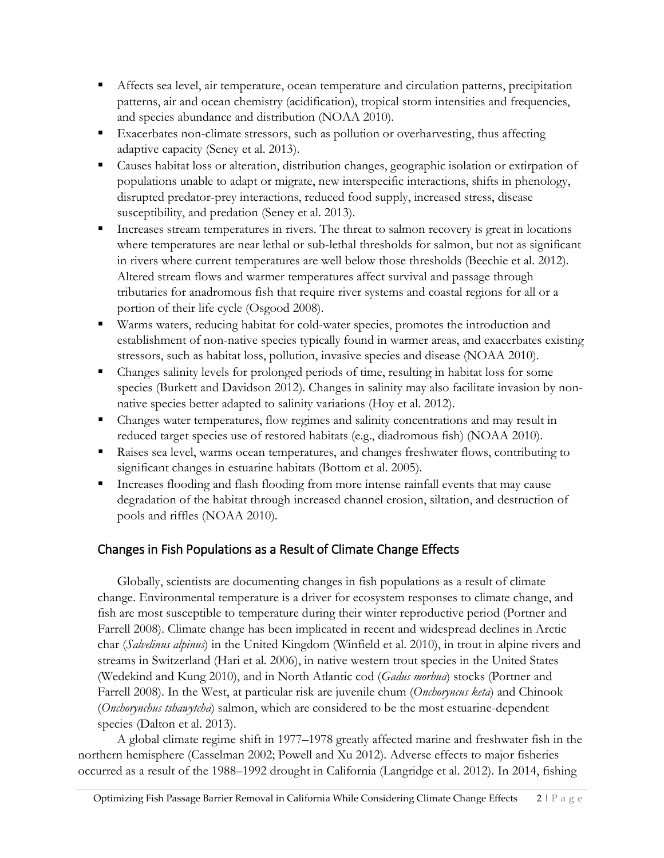- Affects sea level, air temperature, ocean temperature and circulation patterns, precipitation patterns, air and ocean chemistry (acidification), tropical storm intensities and frequencies, and species abundance and distribution (NOAA 2010).
- Exacerbates non-climate stressors, such as pollution or overharvesting, thus affecting adaptive capacity (Seney et al. 2013).
- Causes habitat loss or alteration, distribution changes, geographic isolation or extirpation of populations unable to adapt or migrate, new interspecific interactions, shifts in phenology, disrupted predator-prey interactions, reduced food supply, increased stress, disease susceptibility, and predation (Seney et al. 2013).
- Increases stream temperatures in rivers. The threat to salmon recovery is great in locations where temperatures are near lethal or sub-lethal thresholds for salmon, but not as significant in rivers where current temperatures are well below those thresholds (Beechie et al. 2012). Altered stream flows and warmer temperatures affect survival and passage through tributaries for anadromous fish that require river systems and coastal regions for all or a portion of their life cycle (Osgood 2008).
- Warms waters, reducing habitat for cold-water species, promotes the introduction and establishment of non-native species typically found in warmer areas, and exacerbates existing stressors, such as habitat loss, pollution, invasive species and disease (NOAA 2010).
- Changes salinity levels for prolonged periods of time, resulting in habitat loss for some species (Burkett and Davidson 2012). Changes in salinity may also facilitate invasion by nonnative species better adapted to salinity variations (Hoy et al. 2012).
- Changes water temperatures, flow regimes and salinity concentrations and may result in reduced target species use of restored habitats (e.g., diadromous fish) (NOAA 2010).
- Raises sea level, warms ocean temperatures, and changes freshwater flows, contributing to significant changes in estuarine habitats (Bottom et al. 2005).
- Increases flooding and flash flooding from more intense rainfall events that may cause degradation of the habitat through increased channel erosion, siltation, and destruction of pools and riffles (NOAA 2010).

## Changes in Fish Populations as a Result of Climate Change Effects

Globally, scientists are documenting changes in fish populations as a result of climate change. Environmental temperature is a driver for ecosystem responses to climate change, and fish are most susceptible to temperature during their winter reproductive period (Portner and Farrell 2008). Climate change has been implicated in recent and widespread declines in Arctic char (*Salvelinus alpinus*) in the United Kingdom (Winfield et al. 2010), in trout in alpine rivers and streams in Switzerland (Hari et al. 2006), in native western trout species in the United States (Wedekind and Kung 2010), and in North Atlantic cod (*Gadus morhua*) stocks (Portner and Farrell 2008). In the West, at particular risk are juvenile chum (*Onchoryncus keta*) and Chinook (*Onchorynchus tshawytcha*) salmon, which are considered to be the most estuarine-dependent species (Dalton et al. 2013).

 A global climate regime shift in 1977–1978 greatly affected marine and freshwater fish in the northern hemisphere (Casselman 2002; Powell and Xu 2012). Adverse effects to major fisheries occurred as a result of the 1988–1992 drought in California (Langridge et al. 2012). In 2014, fishing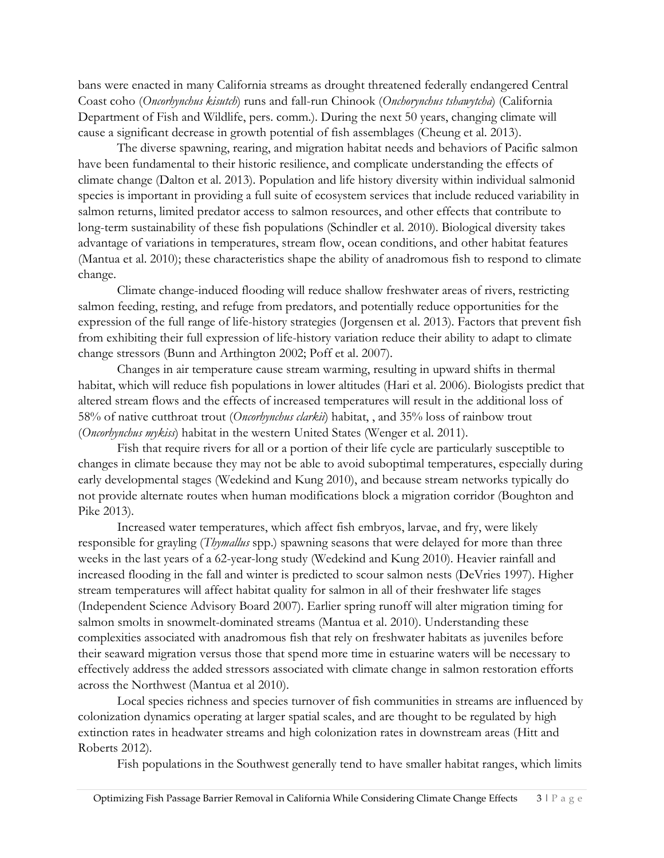bans were enacted in many California streams as drought threatened federally endangered Central Coast coho (*Oncorhynchus kisutch*) runs and fall-run Chinook (*Onchorynchus tshawytcha*) (California Department of Fish and Wildlife, pers. comm.). During the next 50 years, changing climate will cause a significant decrease in growth potential of fish assemblages (Cheung et al. 2013).

The diverse spawning, rearing, and migration habitat needs and behaviors of Pacific salmon have been fundamental to their historic resilience, and complicate understanding the effects of climate change (Dalton et al. 2013). Population and life history diversity within individual salmonid species is important in providing a full suite of ecosystem services that include reduced variability in salmon returns, limited predator access to salmon resources, and other effects that contribute to long-term sustainability of these fish populations (Schindler et al. 2010). Biological diversity takes advantage of variations in temperatures, stream flow, ocean conditions, and other habitat features (Mantua et al. 2010); these characteristics shape the ability of anadromous fish to respond to climate change.

Climate change-induced flooding will reduce shallow freshwater areas of rivers, restricting salmon feeding, resting, and refuge from predators, and potentially reduce opportunities for the expression of the full range of life-history strategies (Jorgensen et al. 2013). Factors that prevent fish from exhibiting their full expression of life-history variation reduce their ability to adapt to climate change stressors (Bunn and Arthington 2002; Poff et al. 2007).

Changes in air temperature cause stream warming, resulting in upward shifts in thermal habitat, which will reduce fish populations in lower altitudes (Hari et al. 2006). Biologists predict that altered stream flows and the effects of increased temperatures will result in the additional loss of 58% of native cutthroat trout (*Oncorhynchus clarkii*) habitat, , and 35% loss of rainbow trout (*Oncorhynchus mykiss*) habitat in the western United States (Wenger et al. 2011).

Fish that require rivers for all or a portion of their life cycle are particularly susceptible to changes in climate because they may not be able to avoid suboptimal temperatures, especially during early developmental stages (Wedekind and Kung 2010), and because stream networks typically do not provide alternate routes when human modifications block a migration corridor (Boughton and Pike 2013).

Increased water temperatures, which affect fish embryos, larvae, and fry, were likely responsible for grayling (*Thymallus* spp.) spawning seasons that were delayed for more than three weeks in the last years of a 62-year-long study (Wedekind and Kung 2010). Heavier rainfall and increased flooding in the fall and winter is predicted to scour salmon nests (DeVries 1997). Higher stream temperatures will affect habitat quality for salmon in all of their freshwater life stages (Independent Science Advisory Board 2007). Earlier spring runoff will alter migration timing for salmon smolts in snowmelt-dominated streams (Mantua et al. 2010). Understanding these complexities associated with anadromous fish that rely on freshwater habitats as juveniles before their seaward migration versus those that spend more time in estuarine waters will be necessary to effectively address the added stressors associated with climate change in salmon restoration efforts across the Northwest (Mantua et al 2010).

Local species richness and species turnover of fish communities in streams are influenced by colonization dynamics operating at larger spatial scales, and are thought to be regulated by high extinction rates in headwater streams and high colonization rates in downstream areas (Hitt and Roberts 2012).

Fish populations in the Southwest generally tend to have smaller habitat ranges, which limits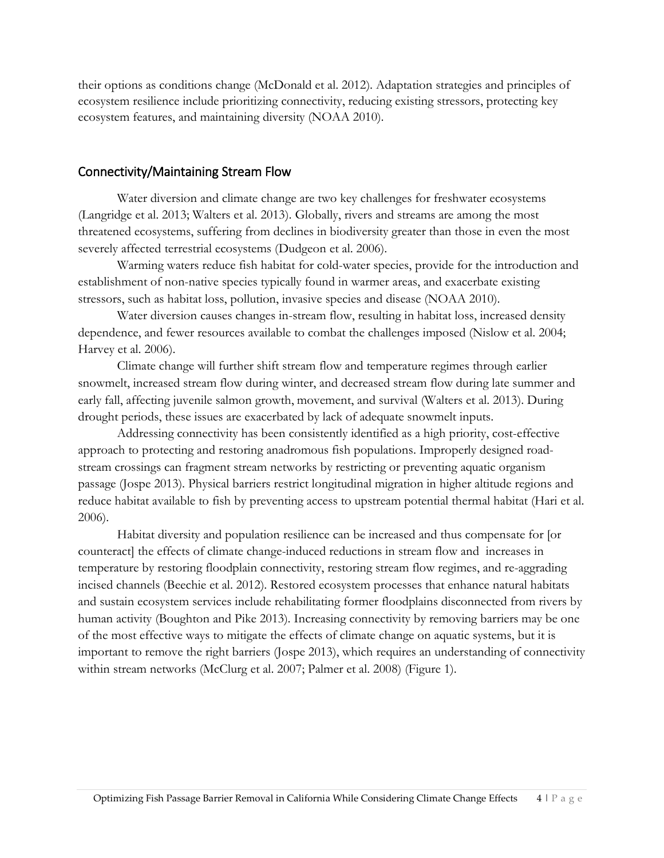their options as conditions change (McDonald et al. 2012). Adaptation strategies and principles of ecosystem resilience include prioritizing connectivity, reducing existing stressors, protecting key ecosystem features, and maintaining diversity (NOAA 2010).

#### Connectivity/Maintaining Stream Flow

Water diversion and climate change are two key challenges for freshwater ecosystems (Langridge et al. 2013; Walters et al. 2013). Globally, rivers and streams are among the most threatened ecosystems, suffering from declines in biodiversity greater than those in even the most severely affected terrestrial ecosystems (Dudgeon et al. 2006).

Warming waters reduce fish habitat for cold-water species, provide for the introduction and establishment of non-native species typically found in warmer areas, and exacerbate existing stressors, such as habitat loss, pollution, invasive species and disease (NOAA 2010).

Water diversion causes changes in-stream flow, resulting in habitat loss, increased density dependence, and fewer resources available to combat the challenges imposed (Nislow et al. 2004; Harvey et al. 2006).

Climate change will further shift stream flow and temperature regimes through earlier snowmelt, increased stream flow during winter, and decreased stream flow during late summer and early fall, affecting juvenile salmon growth, movement, and survival (Walters et al. 2013). During drought periods, these issues are exacerbated by lack of adequate snowmelt inputs.

Addressing connectivity has been consistently identified as a high priority, cost-effective approach to protecting and restoring anadromous fish populations. Improperly designed roadstream crossings can fragment stream networks by restricting or preventing aquatic organism passage (Jospe 2013). Physical barriers restrict longitudinal migration in higher altitude regions and reduce habitat available to fish by preventing access to upstream potential thermal habitat (Hari et al. 2006).

Habitat diversity and population resilience can be increased and thus compensate for [or counteract] the effects of climate change-induced reductions in stream flow and increases in temperature by restoring floodplain connectivity, restoring stream flow regimes, and re-aggrading incised channels (Beechie et al. 2012). Restored ecosystem processes that enhance natural habitats and sustain ecosystem services include rehabilitating former floodplains disconnected from rivers by human activity (Boughton and Pike 2013). Increasing connectivity by removing barriers may be one of the most effective ways to mitigate the effects of climate change on aquatic systems, but it is important to remove the right barriers (Jospe 2013), which requires an understanding of connectivity within stream networks (McClurg et al. 2007; Palmer et al. 2008) (Figure 1).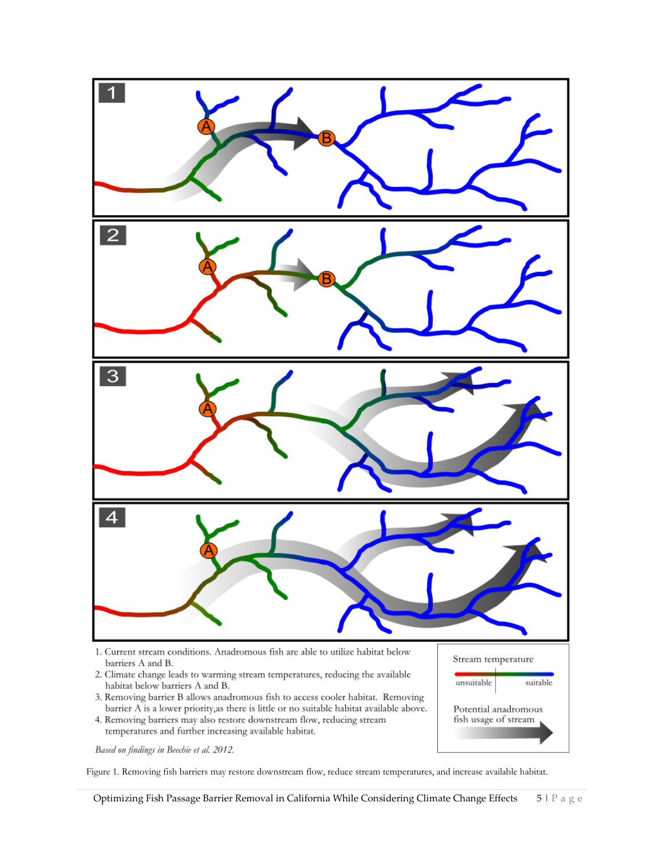

Based on findings in Beechie et al. 2012.

Figure 1. Removing fish barriers may restore downstream flow, reduce stream temperatures, and increase available habitat.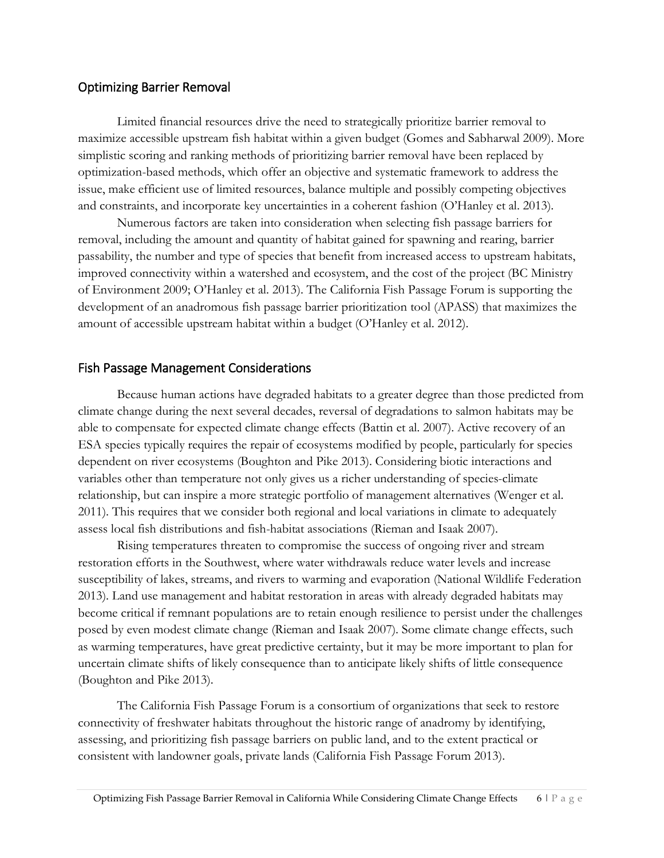#### Optimizing Barrier Removal

Limited financial resources drive the need to strategically prioritize barrier removal to maximize accessible upstream fish habitat within a given budget (Gomes and Sabharwal 2009). More simplistic scoring and ranking methods of prioritizing barrier removal have been replaced by optimization-based methods, which offer an objective and systematic framework to address the issue, make efficient use of limited resources, balance multiple and possibly competing objectives and constraints, and incorporate key uncertainties in a coherent fashion (O'Hanley et al. 2013).

Numerous factors are taken into consideration when selecting fish passage barriers for removal, including the amount and quantity of habitat gained for spawning and rearing, barrier passability, the number and type of species that benefit from increased access to upstream habitats, improved connectivity within a watershed and ecosystem, and the cost of the project (BC Ministry of Environment 2009; O'Hanley et al. 2013). The California Fish Passage Forum is supporting the development of an anadromous fish passage barrier prioritization tool (APASS) that maximizes the amount of accessible upstream habitat within a budget (O'Hanley et al. 2012).

#### Fish Passage Management Considerations

Because human actions have degraded habitats to a greater degree than those predicted from climate change during the next several decades, reversal of degradations to salmon habitats may be able to compensate for expected climate change effects (Battin et al. 2007). Active recovery of an ESA species typically requires the repair of ecosystems modified by people, particularly for species dependent on river ecosystems (Boughton and Pike 2013). Considering biotic interactions and variables other than temperature not only gives us a richer understanding of species-climate relationship, but can inspire a more strategic portfolio of management alternatives (Wenger et al. 2011). This requires that we consider both regional and local variations in climate to adequately assess local fish distributions and fish-habitat associations (Rieman and Isaak 2007).

Rising temperatures threaten to compromise the success of ongoing river and stream restoration efforts in the Southwest, where water withdrawals reduce water levels and increase susceptibility of lakes, streams, and rivers to warming and evaporation (National Wildlife Federation 2013). Land use management and habitat restoration in areas with already degraded habitats may become critical if remnant populations are to retain enough resilience to persist under the challenges posed by even modest climate change (Rieman and Isaak 2007). Some climate change effects, such as warming temperatures, have great predictive certainty, but it may be more important to plan for uncertain climate shifts of likely consequence than to anticipate likely shifts of little consequence (Boughton and Pike 2013).

The California Fish Passage Forum is a consortium of organizations that seek to restore connectivity of freshwater habitats throughout the historic range of anadromy by identifying, assessing, and prioritizing fish passage barriers on public land, and to the extent practical or consistent with landowner goals, private lands (California Fish Passage Forum 2013).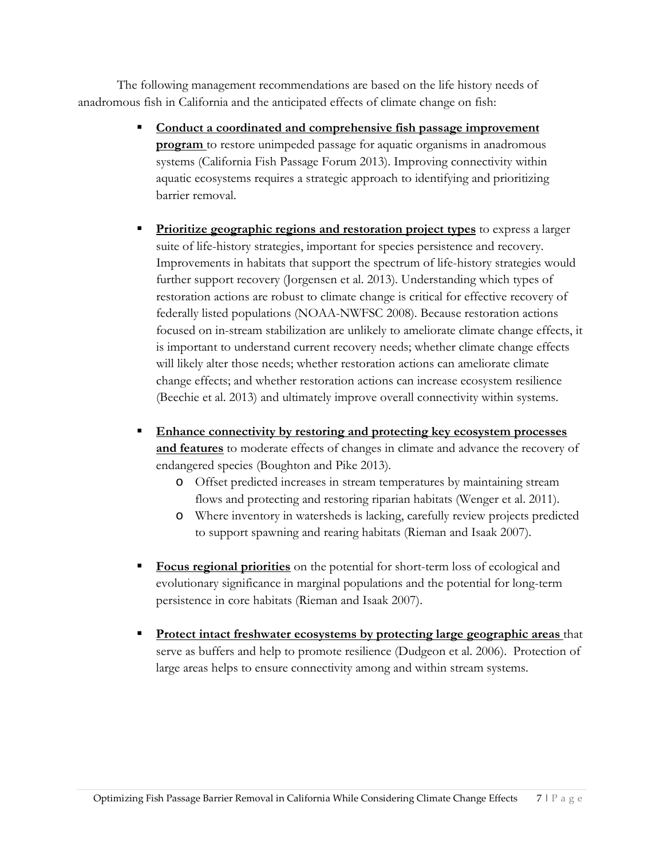The following management recommendations are based on the life history needs of anadromous fish in California and the anticipated effects of climate change on fish:

- **Conduct a coordinated and comprehensive fish passage improvement program** to restore unimpeded passage for aquatic organisms in anadromous systems (California Fish Passage Forum 2013). Improving connectivity within aquatic ecosystems requires a strategic approach to identifying and prioritizing barrier removal.
- **Prioritize geographic regions and restoration project types** to express a larger suite of life-history strategies, important for species persistence and recovery. Improvements in habitats that support the spectrum of life-history strategies would further support recovery (Jorgensen et al. 2013). Understanding which types of restoration actions are robust to climate change is critical for effective recovery of federally listed populations (NOAA-NWFSC 2008). Because restoration actions focused on in-stream stabilization are unlikely to ameliorate climate change effects, it is important to understand current recovery needs; whether climate change effects will likely alter those needs; whether restoration actions can ameliorate climate change effects; and whether restoration actions can increase ecosystem resilience (Beechie et al. 2013) and ultimately improve overall connectivity within systems.
- **Enhance connectivity by restoring and protecting key ecosystem processes and features** to moderate effects of changes in climate and advance the recovery of endangered species (Boughton and Pike 2013).
	- o Offset predicted increases in stream temperatures by maintaining stream flows and protecting and restoring riparian habitats (Wenger et al. 2011).
	- o Where inventory in watersheds is lacking, carefully review projects predicted to support spawning and rearing habitats (Rieman and Isaak 2007).
- **Focus regional priorities** on the potential for short-term loss of ecological and evolutionary significance in marginal populations and the potential for long-term persistence in core habitats (Rieman and Isaak 2007).
- **Protect intact freshwater ecosystems by protecting large geographic areas** that serve as buffers and help to promote resilience (Dudgeon et al. 2006). Protection of large areas helps to ensure connectivity among and within stream systems.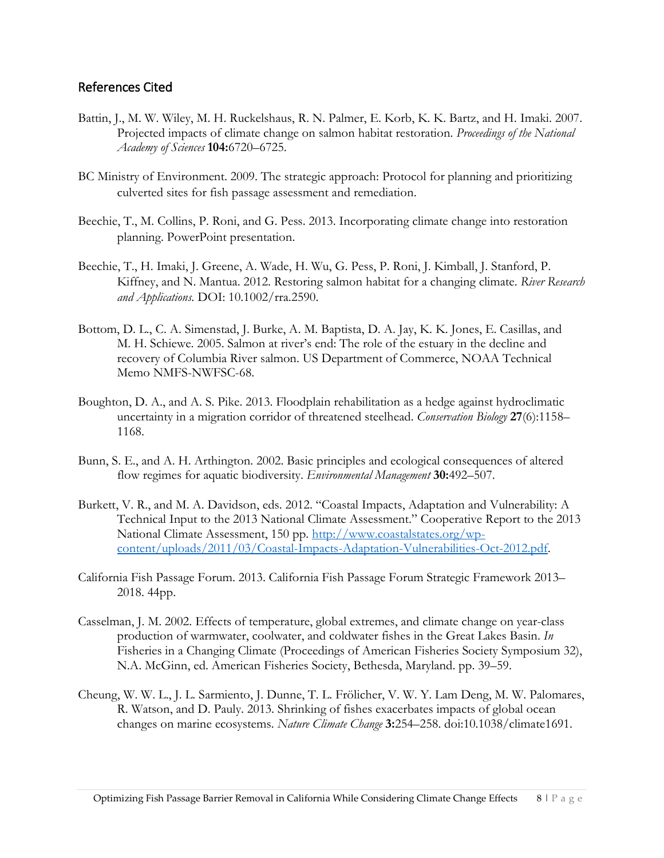### References Cited

- Battin, J., M. W. Wiley, M. H. Ruckelshaus, R. N. Palmer, E. Korb, K. K. Bartz, and H. Imaki. 2007. Projected impacts of climate change on salmon habitat restoration. *Proceedings of the National Academy of Sciences* **104:**6720–6725.
- BC Ministry of Environment. 2009. The strategic approach: Protocol for planning and prioritizing culverted sites for fish passage assessment and remediation.
- Beechie, T., M. Collins, P. Roni, and G. Pess. 2013. Incorporating climate change into restoration planning. PowerPoint presentation.
- Beechie, T., H. Imaki, J. Greene, A. Wade, H. Wu, G. Pess, P. Roni, J. Kimball, J. Stanford, P. Kiffney, and N. Mantua. 2012. Restoring salmon habitat for a changing climate. *River Research and Applications*. DOI: 10.1002/rra.2590.
- Bottom, D. L., C. A. Simenstad, J. Burke, A. M. Baptista, D. A. Jay, K. K. Jones, E. Casillas, and M. H. Schiewe. 2005. Salmon at river's end: The role of the estuary in the decline and recovery of Columbia River salmon. US Department of Commerce, NOAA Technical Memo NMFS-NWFSC-68.
- Boughton, D. A., and A. S. Pike. 2013. Floodplain rehabilitation as a hedge against hydroclimatic uncertainty in a migration corridor of threatened steelhead. *Conservation Biology* **27**(6):1158– 1168.
- Bunn, S. E., and A. H. Arthington. 2002. Basic principles and ecological consequences of altered flow regimes for aquatic biodiversity. *Environmental Management* **30:**492–507.
- Burkett, V. R., and M. A. Davidson, eds. 2012. "Coastal Impacts, Adaptation and Vulnerability: A Technical Input to the 2013 National Climate Assessment." Cooperative Report to the 2013 National Climate Assessment, 150 pp. [http://www.coastalstates.org/wp](http://www.coastalstates.org/wp-content/uploads/2011/03/Coastal-Impacts-Adaptation-Vulnerabilities-Oct-2012.pdf)[content/uploads/2011/03/Coastal-Impacts-Adaptation-Vulnerabilities-Oct-2012.pdf.](http://www.coastalstates.org/wp-content/uploads/2011/03/Coastal-Impacts-Adaptation-Vulnerabilities-Oct-2012.pdf)
- California Fish Passage Forum. 2013. California Fish Passage Forum Strategic Framework 2013– 2018. 44pp.
- Casselman, J. M. 2002. Effects of temperature, global extremes, and climate change on year-class production of warmwater, coolwater, and coldwater fishes in the Great Lakes Basin. *In*  Fisheries in a Changing Climate (Proceedings of American Fisheries Society Symposium 32), N.A. McGinn, ed. American Fisheries Society, Bethesda, Maryland. pp. 39–59.
- Cheung, W. W. L., J. L. Sarmiento, J. Dunne, T. L. Frölicher, V. W. Y. Lam Deng, M. W. Palomares, R. Watson, and D. Pauly. 2013. Shrinking of fishes exacerbates impacts of global ocean changes on marine ecosystems. *Nature Climate Change* **3:**254–258. doi:10.1038/climate1691.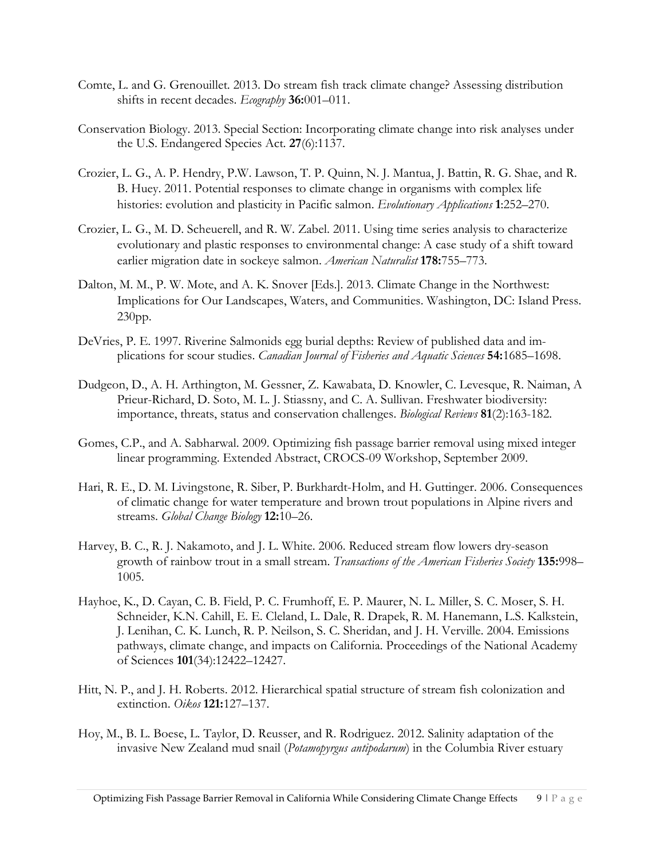- Comte, L. and G. Grenouillet. 2013. Do stream fish track climate change? Assessing distribution shifts in recent decades. *Ecography* **36:**001–011.
- Conservation Biology. 2013. Special Section: Incorporating climate change into risk analyses under the U.S. Endangered Species Act. **27**(6):1137.
- Crozier, L. G., A. P. Hendry, P.W. Lawson, T. P. Quinn, N. J. Mantua, J. Battin, R. G. Shae, and R. B. Huey. 2011. Potential responses to climate change in organisms with complex life histories: evolution and plasticity in Pacific salmon. *Evolutionary Applications* **1**:252–270.
- Crozier, L. G., M. D. Scheuerell, and R. W. Zabel. 2011. Using time series analysis to characterize evolutionary and plastic responses to environmental change: A case study of a shift toward earlier migration date in sockeye salmon. *American Naturalist* **178:**755–773.
- Dalton, M. M., P. W. Mote, and A. K. Snover [Eds.]. 2013. Climate Change in the Northwest: Implications for Our Landscapes, Waters, and Communities. Washington, DC: Island Press. 230pp.
- DeVries, P. E. 1997. Riverine Salmonids egg burial depths: Review of published data and implications for scour studies. *Canadian Journal of Fisheries and Aquatic Sciences* **54:**1685–1698.
- Dudgeon, D., A. H. Arthington, M. Gessner, Z. Kawabata, D. Knowler, C. Levesque, R. Naiman, A Prieur-Richard, D. Soto, M. L. J. Stiassny, and C. A. Sullivan. Freshwater biodiversity: importance, threats, status and conservation challenges. *Biological Reviews* **81**(2):163-182.
- Gomes, C.P., and A. Sabharwal. 2009. Optimizing fish passage barrier removal using mixed integer linear programming. Extended Abstract, CROCS-09 Workshop, September 2009.
- Hari, R. E., D. M. Livingstone, R. Siber, P. Burkhardt-Holm, and H. Guttinger. 2006. Consequences of climatic change for water temperature and brown trout populations in Alpine rivers and streams. *Global Change Biology* **12:**10–26.
- Harvey, B. C., R. J. Nakamoto, and J. L. White. 2006. Reduced stream flow lowers dry-season growth of rainbow trout in a small stream. *Transactions of the American Fisheries Society* **135:**998– 1005.
- Hayhoe, K., D. Cayan, C. B. Field, P. C. Frumhoff, E. P. Maurer, N. L. Miller, S. C. Moser, S. H. Schneider, K.N. Cahill, E. E. Cleland, L. Dale, R. Drapek, R. M. Hanemann, L.S. Kalkstein, J. Lenihan, C. K. Lunch, R. P. Neilson, S. C. Sheridan, and J. H. Verville. 2004. Emissions pathways, climate change, and impacts on California. Proceedings of the National Academy of Sciences **101**(34):12422–12427.
- Hitt, N. P., and J. H. Roberts. 2012. Hierarchical spatial structure of stream fish colonization and extinction. *Oikos* **121:**127–137.
- Hoy, M., B. L. Boese, L. Taylor, D. Reusser, and R. Rodriguez. 2012. Salinity adaptation of the invasive New Zealand mud snail (*Potamopyrgus antipodarum*) in the Columbia River estuary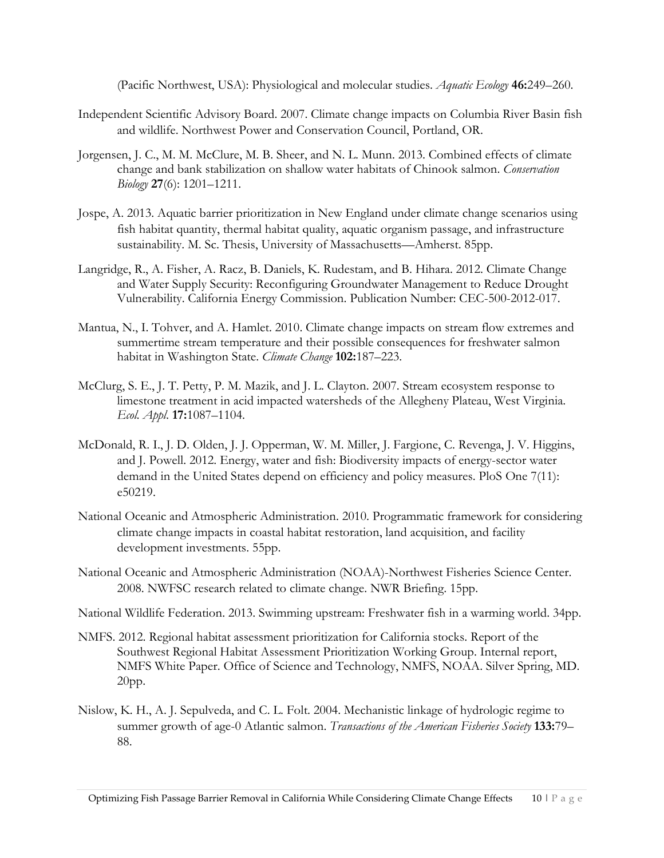(Pacific Northwest, USA): Physiological and molecular studies. *Aquatic Ecology* **46:**249–260.

- Independent Scientific Advisory Board. 2007. Climate change impacts on Columbia River Basin fish and wildlife. Northwest Power and Conservation Council, Portland, OR.
- Jorgensen, J. C., M. M. McClure, M. B. Sheer, and N. L. Munn. 2013. Combined effects of climate change and bank stabilization on shallow water habitats of Chinook salmon. *Conservation Biology* **27**(6): 1201–1211.
- Jospe, A. 2013. Aquatic barrier prioritization in New England under climate change scenarios using fish habitat quantity, thermal habitat quality, aquatic organism passage, and infrastructure sustainability. M. Sc. Thesis, University of Massachusetts—Amherst. 85pp.
- Langridge, R., A. Fisher, A. Racz, B. Daniels, K. Rudestam, and B. Hihara. 2012. Climate Change and Water Supply Security: Reconfiguring Groundwater Management to Reduce Drought Vulnerability. California Energy Commission. Publication Number: CEC-500-2012-017.
- Mantua, N., I. Tohver, and A. Hamlet. 2010. Climate change impacts on stream flow extremes and summertime stream temperature and their possible consequences for freshwater salmon habitat in Washington State. *Climate Change* **102:**187–223.
- McClurg, S. E., J. T. Petty, P. M. Mazik, and J. L. Clayton. 2007. Stream ecosystem response to limestone treatment in acid impacted watersheds of the Allegheny Plateau, West Virginia. *Ecol. Appl.* **17:**1087–1104.
- McDonald, R. I., J. D. Olden, J. J. Opperman, W. M. Miller, J. Fargione, C. Revenga, J. V. Higgins, and J. Powell. 2012. Energy, water and fish: Biodiversity impacts of energy-sector water demand in the United States depend on efficiency and policy measures. PloS One 7(11): e50219.
- National Oceanic and Atmospheric Administration. 2010. Programmatic framework for considering climate change impacts in coastal habitat restoration, land acquisition, and facility development investments. 55pp.
- National Oceanic and Atmospheric Administration (NOAA)-Northwest Fisheries Science Center. 2008. NWFSC research related to climate change. NWR Briefing. 15pp.
- National Wildlife Federation. 2013. Swimming upstream: Freshwater fish in a warming world. 34pp.
- NMFS. 2012. Regional habitat assessment prioritization for California stocks. Report of the Southwest Regional Habitat Assessment Prioritization Working Group. Internal report, NMFS White Paper. Office of Science and Technology, NMFS, NOAA. Silver Spring, MD. 20pp.
- Nislow, K. H., A. J. Sepulveda, and C. L. Folt. 2004. Mechanistic linkage of hydrologic regime to summer growth of age-0 Atlantic salmon. *Transactions of the American Fisheries Society* **133:**79– 88.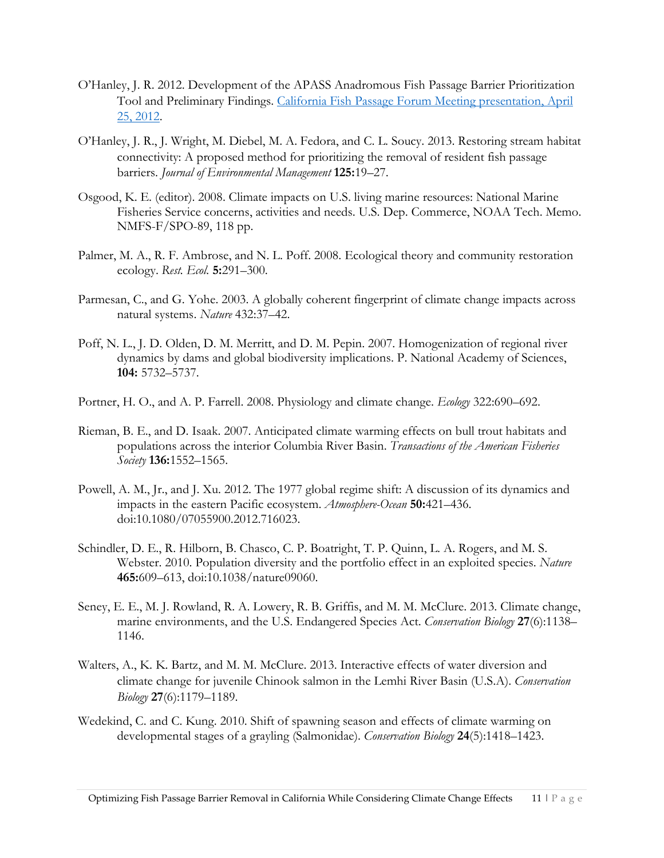- O'Hanley, J. R. 2012. Development of the APASS Anadromous Fish Passage Barrier Prioritization Tool and Preliminary Findings. [California Fish Passage Forum Meeting presentation, April](http://webcache.googleusercontent.com/search?q=cache:DseBGV-vd2MJ:www.calfish.org/LinkClick.aspx%3Ffileticket%3DUmSLqki%252FgzA%253D%26tabid%3D114%26mid%3D553%26forcedownload%3Dtrue+&cd=1&hl=en&ct=clnk&gl=us&client=firefox-a)  [25, 2012.](http://webcache.googleusercontent.com/search?q=cache:DseBGV-vd2MJ:www.calfish.org/LinkClick.aspx%3Ffileticket%3DUmSLqki%252FgzA%253D%26tabid%3D114%26mid%3D553%26forcedownload%3Dtrue+&cd=1&hl=en&ct=clnk&gl=us&client=firefox-a)
- O'Hanley, J. R., J. Wright, M. Diebel, M. A. Fedora, and C. L. Soucy. 2013. Restoring stream habitat connectivity: A proposed method for prioritizing the removal of resident fish passage barriers. *Journal of Environmental Management* **125:**19–27.
- Osgood, K. E. (editor). 2008. Climate impacts on U.S. living marine resources: National Marine Fisheries Service concerns, activities and needs. U.S. Dep. Commerce, NOAA Tech. Memo. NMFS-F/SPO-89, 118 pp.
- Palmer, M. A., R. F. Ambrose, and N. L. Poff. 2008. Ecological theory and community restoration ecology. *Rest. Ecol.* **5:**291–300.
- Parmesan, C., and G. Yohe. 2003. A globally coherent fingerprint of climate change impacts across natural systems. *Nature* 432:37–42.
- Poff, N. L., J. D. Olden, D. M. Merritt, and D. M. Pepin. 2007. Homogenization of regional river dynamics by dams and global biodiversity implications. P. National Academy of Sciences, **104:** 5732–5737.
- Portner, H. O., and A. P. Farrell. 2008. Physiology and climate change. *Ecology* 322:690–692.
- Rieman, B. E., and D. Isaak. 2007. Anticipated climate warming effects on bull trout habitats and populations across the interior Columbia River Basin. *Transactions of the American Fisheries Society* **136:**1552–1565.
- Powell, A. M., Jr., and J. Xu. 2012. The 1977 global regime shift: A discussion of its dynamics and impacts in the eastern Pacific ecosystem. *Atmosphere-Ocean* **50:**421–436. doi:10.1080/07055900.2012.716023.
- Schindler, D. E., R. Hilborn, B. Chasco, C. P. Boatright, T. P. Quinn, L. A. Rogers, and M. S. Webster. 2010. Population diversity and the portfolio effect in an exploited species. *Nature* **465:**609–613, doi:10.1038/nature09060.
- Seney, E. E., M. J. Rowland, R. A. Lowery, R. B. Griffis, and M. M. McClure. 2013. Climate change, marine environments, and the U.S. Endangered Species Act. *Conservation Biology* **27**(6):1138– 1146.
- Walters, A., K. K. Bartz, and M. M. McClure. 2013. Interactive effects of water diversion and climate change for juvenile Chinook salmon in the Lemhi River Basin (U.S.A). *Conservation Biology* **27**(6):1179–1189.
- Wedekind, C. and C. Kung. 2010. Shift of spawning season and effects of climate warming on developmental stages of a grayling (Salmonidae). *Conservation Biology* **24**(5):1418–1423.